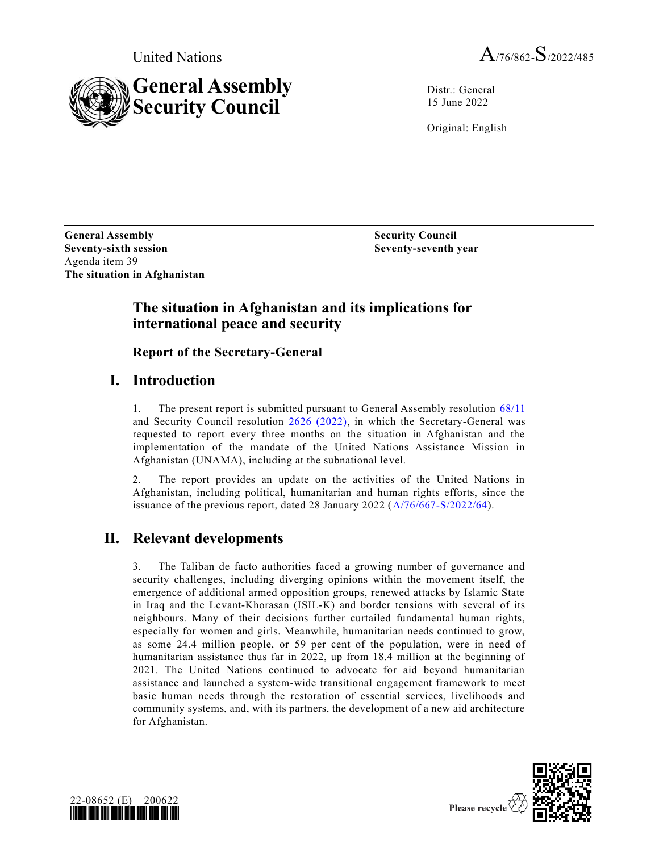



Distr.: General 15 June 2022

Original: English

**General Assembly Security Council Seventy-sixth session Seventy-seventh year** Agenda item 39 **The situation in Afghanistan**

### **The situation in Afghanistan and its implications for international peace and security**

**Report of the Secretary-General** 

## **I. Introduction**

1. The present report is submitted pursuant to General Assembly resolution [68/11](https://undocs.org/en/A/RES/68/11) and Security Council resolution [2626 \(2022\),](https://undocs.org/en/S/RES/2626(2022)) in which the Secretary-General was requested to report every three months on the situation in Afghanistan and the implementation of the mandate of the United Nations Assistance Mission in Afghanistan (UNAMA), including at the subnational level.

The report provides an update on the activities of the United Nations in Afghanistan, including political, humanitarian and human rights efforts, since the issuance of the previous report, dated 28 January 2022 [\(A/76/667-S/2022/64\)](https://undocs.org/en/A/76/667).

## **II. Relevant developments**

3. The Taliban de facto authorities faced a growing number of governance and security challenges, including diverging opinions within the movement itself, the emergence of additional armed opposition groups, renewed attacks by Islamic State in Iraq and the Levant-Khorasan (ISIL-K) and border tensions with several of its neighbours. Many of their decisions further curtailed fundamental human rights, especially for women and girls. Meanwhile, humanitarian needs continued to grow, as some 24.4 million people, or 59 per cent of the population, were in need of humanitarian assistance thus far in 2022, up from 18.4 million at the beginning of 2021. The United Nations continued to advocate for aid beyond humanitarian assistance and launched a system-wide transitional engagement framework to meet basic human needs through the restoration of essential services, livelihoods and community systems, and, with its partners, the development of a new aid architecture for Afghanistan.



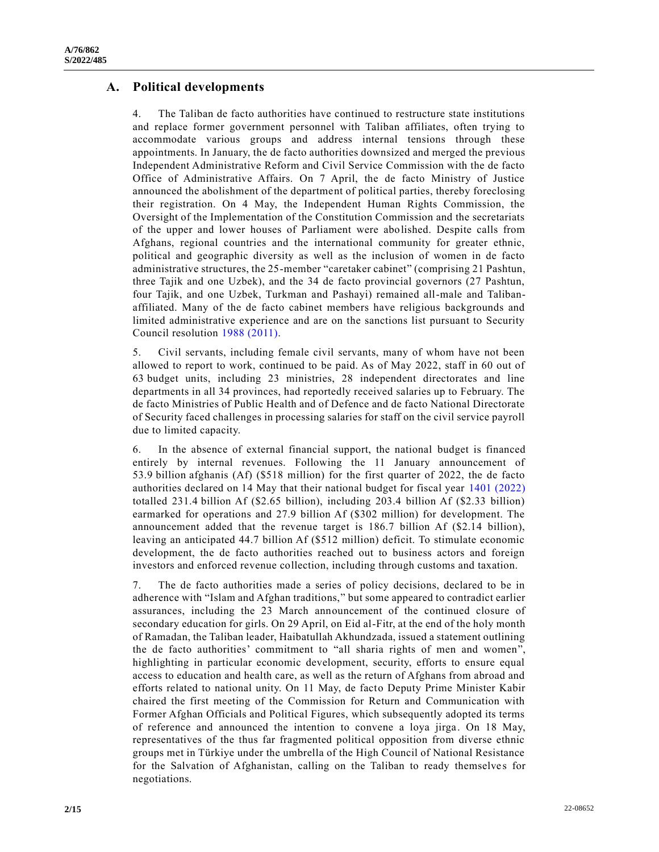#### **A. Political developments**

4. The Taliban de facto authorities have continued to restructure state institutions and replace former government personnel with Taliban affiliates, often trying to accommodate various groups and address internal tensions through these appointments. In January, the de facto authorities downsized and merged the previous Independent Administrative Reform and Civil Service Commission with the de facto Office of Administrative Affairs. On 7 April, the de facto Ministry of Justice announced the abolishment of the department of political parties, thereby foreclosing their registration. On 4 May, the Independent Human Rights Commission, the Oversight of the Implementation of the Constitution Commission and the secretariats of the upper and lower houses of Parliament were abolished. Despite calls from Afghans, regional countries and the international community for greater ethnic, political and geographic diversity as well as the inclusion of women in de facto administrative structures, the 25-member "caretaker cabinet" (comprising 21 Pashtun, three Tajik and one Uzbek), and the 34 de facto provincial governors (27 Pashtun, four Tajik, and one Uzbek, Turkman and Pashayi) remained all-male and Talibanaffiliated. Many of the de facto cabinet members have religious backgrounds and limited administrative experience and are on the sanctions list pursuant to Security Council resolution [1988 \(2011\).](https://undocs.org/en/S/RES/1988(2011))

5. Civil servants, including female civil servants, many of whom have not been allowed to report to work, continued to be paid. As of May 2022, staff in 60 out of 63 budget units, including 23 ministries, 28 independent directorates and line departments in all 34 provinces, had reportedly received salaries up to February. The de facto Ministries of Public Health and of Defence and de facto National Directorate of Security faced challenges in processing salaries for staff on the civil service payroll due to limited capacity.

6. In the absence of external financial support, the national budget is financed entirely by internal revenues. Following the 11 January announcement of 53.9 billion afghanis (Af) (\$518 million) for the first quarter of 2022, the de facto authorities declared on 14 May that their national budget for fiscal year [1401 \(2022\)](https://undocs.org/en/S/RES/1401(2022)) totalled 231.4 billion Af (\$2.65 billion), including 203.4 billion Af (\$2.33 billion) earmarked for operations and 27.9 billion Af (\$302 million) for development. The announcement added that the revenue target is 186.7 billion Af (\$2.14 billion), leaving an anticipated 44.7 billion Af (\$512 million) deficit. To stimulate economic development, the de facto authorities reached out to business actors and foreign investors and enforced revenue collection, including through customs and taxation.

7. The de facto authorities made a series of policy decisions, declared to be in adherence with "Islam and Afghan traditions," but some appeared to contradict earlier assurances, including the 23 March announcement of the continued closure of secondary education for girls. On 29 April, on Eid al-Fitr, at the end of the holy month of Ramadan, the Taliban leader, Haibatullah Akhundzada, issued a statement outlining the de facto authorities' commitment to "all sharia rights of men and women", highlighting in particular economic development, security, efforts to ensure equal access to education and health care, as well as the return of Afghans from abroad and efforts related to national unity. On 11 May, de facto Deputy Prime Minister Kabir chaired the first meeting of the Commission for Return and Communication with Former Afghan Officials and Political Figures, which subsequently adopted its terms of reference and announced the intention to convene a loya jirga . On 18 May, representatives of the thus far fragmented political opposition from diverse ethnic groups met in Türkiye under the umbrella of the High Council of National Resistance for the Salvation of Afghanistan, calling on the Taliban to ready themselves for negotiations.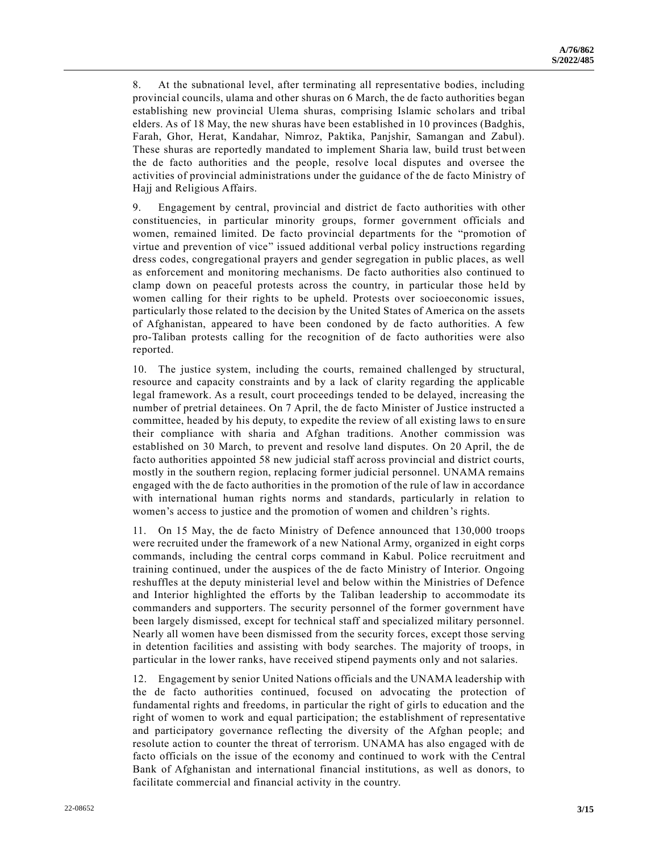8. At the subnational level, after terminating all representative bodies, including provincial councils, ulama and other shuras on 6 March, the de facto authorities began establishing new provincial Ulema shuras, comprising Islamic scholars and tribal elders. As of 18 May, the new shuras have been established in 10 provinces (Badghis, Farah, Ghor, Herat, Kandahar, Nimroz, Paktika, Panjshir, Samangan and Zabul). These shuras are reportedly mandated to implement Sharia law, build trust between the de facto authorities and the people, resolve local disputes and oversee the activities of provincial administrations under the guidance of the de facto Ministry of Hajj and Religious Affairs.

9. Engagement by central, provincial and district de facto authorities with other constituencies, in particular minority groups, former government officials and women, remained limited. De facto provincial departments for the "promotion of virtue and prevention of vice" issued additional verbal policy instructions regarding dress codes, congregational prayers and gender segregation in public places, as well as enforcement and monitoring mechanisms. De facto authorities also continued to clamp down on peaceful protests across the country, in particular those held by women calling for their rights to be upheld. Protests over socioeconomic issues, particularly those related to the decision by the United States of America on the assets of Afghanistan, appeared to have been condoned by de facto authorities. A few pro-Taliban protests calling for the recognition of de facto authorities were also reported.

10. The justice system, including the courts, remained challenged by structural, resource and capacity constraints and by a lack of clarity regarding the applicable legal framework. As a result, court proceedings tended to be delayed, increasing the number of pretrial detainees. On 7 April, the de facto Minister of Justice instructed a committee, headed by his deputy, to expedite the review of all existing laws to en sure their compliance with sharia and Afghan traditions. Another commission was established on 30 March, to prevent and resolve land disputes. On 20 April, the de facto authorities appointed 58 new judicial staff across provincial and district courts, mostly in the southern region, replacing former judicial personnel. UNAMA remains engaged with the de facto authorities in the promotion of the rule of law in accordance with international human rights norms and standards, particularly in relation to women's access to justice and the promotion of women and children's rights.

11. On 15 May, the de facto Ministry of Defence announced that 130,000 troops were recruited under the framework of a new National Army, organized in eight corps commands, including the central corps command in Kabul. Police recruitment and training continued, under the auspices of the de facto Ministry of Interior. Ongoing reshuffles at the deputy ministerial level and below within the Ministries of Defence and Interior highlighted the efforts by the Taliban leadership to accommodate its commanders and supporters. The security personnel of the former government have been largely dismissed, except for technical staff and specialized military personnel. Nearly all women have been dismissed from the security forces, except those serving in detention facilities and assisting with body searches. The majority of troops, in particular in the lower ranks, have received stipend payments only and not salaries.

12. Engagement by senior United Nations officials and the UNAMA leadership with the de facto authorities continued, focused on advocating the protection of fundamental rights and freedoms, in particular the right of girls to education and the right of women to work and equal participation; the establishment of representative and participatory governance reflecting the diversity of the Afghan people; and resolute action to counter the threat of terrorism. UNAMA has also engaged with de facto officials on the issue of the economy and continued to work with the Central Bank of Afghanistan and international financial institutions, as well as donors, to facilitate commercial and financial activity in the country.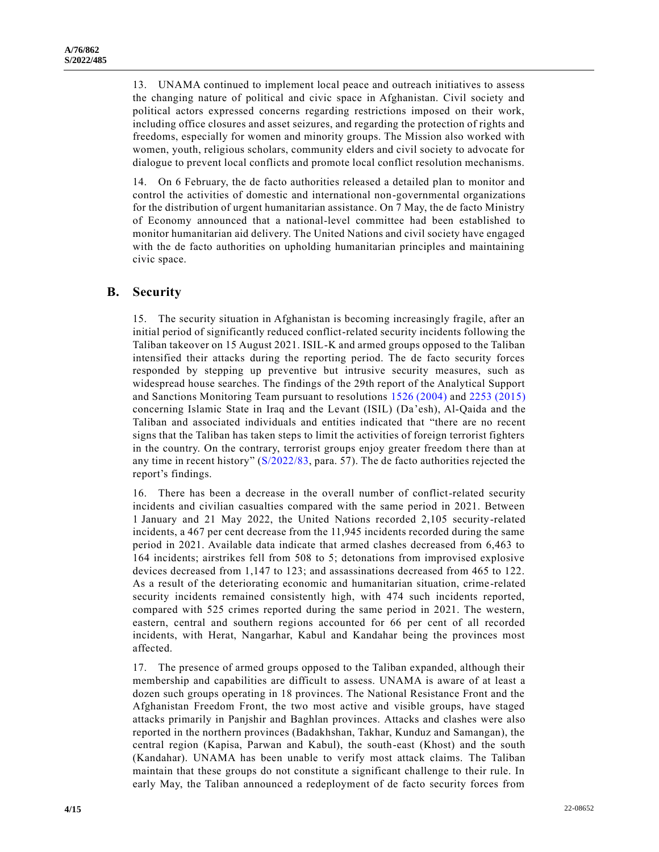13. UNAMA continued to implement local peace and outreach initiatives to assess the changing nature of political and civic space in Afghanistan. Civil society and political actors expressed concerns regarding restrictions imposed on their work, including office closures and asset seizures, and regarding the protection of rights and freedoms, especially for women and minority groups. The Mission also worked with women, youth, religious scholars, community elders and civil society to advocate for dialogue to prevent local conflicts and promote local conflict resolution mechanisms.

14. On 6 February, the de facto authorities released a detailed plan to monitor and control the activities of domestic and international non-governmental organizations for the distribution of urgent humanitarian assistance. On 7 May, the de facto Ministry of Economy announced that a national-level committee had been established to monitor humanitarian aid delivery. The United Nations and civil society have engaged with the de facto authorities on upholding humanitarian principles and maintaining civic space.

#### **B. Security**

15. The security situation in Afghanistan is becoming increasingly fragile, after an initial period of significantly reduced conflict-related security incidents following the Taliban takeover on 15 August 2021. ISIL-K and armed groups opposed to the Taliban intensified their attacks during the reporting period. The de facto security forces responded by stepping up preventive but intrusive security measures, such as widespread house searches. The findings of the 29th report of the Analytical Support and Sanctions Monitoring Team pursuant to resolutions [1526 \(2004\)](https://undocs.org/en/S/RES/1526(2004)) and [2253 \(2015\)](https://undocs.org/en/S/RES/2253(2015)) concerning Islamic State in Iraq and the Levant (ISIL) (Da'esh), Al-Qaida and the Taliban and associated individuals and entities indicated that "there are no recent signs that the Taliban has taken steps to limit the activities of foreign terrorist fighters in the country. On the contrary, terrorist groups enjoy greater freedom there than at any time in recent history" [\(S/2022/83,](https://undocs.org/en/S/2022/83) para. 57). The de facto authorities rejected the report's findings.

16. There has been a decrease in the overall number of conflict-related security incidents and civilian casualties compared with the same period in 2021. Between 1 January and 21 May 2022, the United Nations recorded 2,105 security-related incidents, a 467 per cent decrease from the 11,945 incidents recorded during the same period in 2021. Available data indicate that armed clashes decreased from 6,463 to 164 incidents; airstrikes fell from 508 to 5; detonations from improvised explosive devices decreased from 1,147 to 123; and assassinations decreased from 465 to 122. As a result of the deteriorating economic and humanitarian situation, crime-related security incidents remained consistently high, with 474 such incidents reported, compared with 525 crimes reported during the same period in 2021. The western, eastern, central and southern regions accounted for 66 per cent of all recorded incidents, with Herat, Nangarhar, Kabul and Kandahar being the provinces most affected.

17. The presence of armed groups opposed to the Taliban expanded, although their membership and capabilities are difficult to assess. UNAMA is aware of at least a dozen such groups operating in 18 provinces. The National Resistance Front and the Afghanistan Freedom Front, the two most active and visible groups, have staged attacks primarily in Panjshir and Baghlan provinces. Attacks and clashes were also reported in the northern provinces (Badakhshan, Takhar, Kunduz and Samangan), the central region (Kapisa, Parwan and Kabul), the south-east (Khost) and the south (Kandahar). UNAMA has been unable to verify most attack claims. The Taliban maintain that these groups do not constitute a significant challenge to their rule. In early May, the Taliban announced a redeployment of de facto security forces from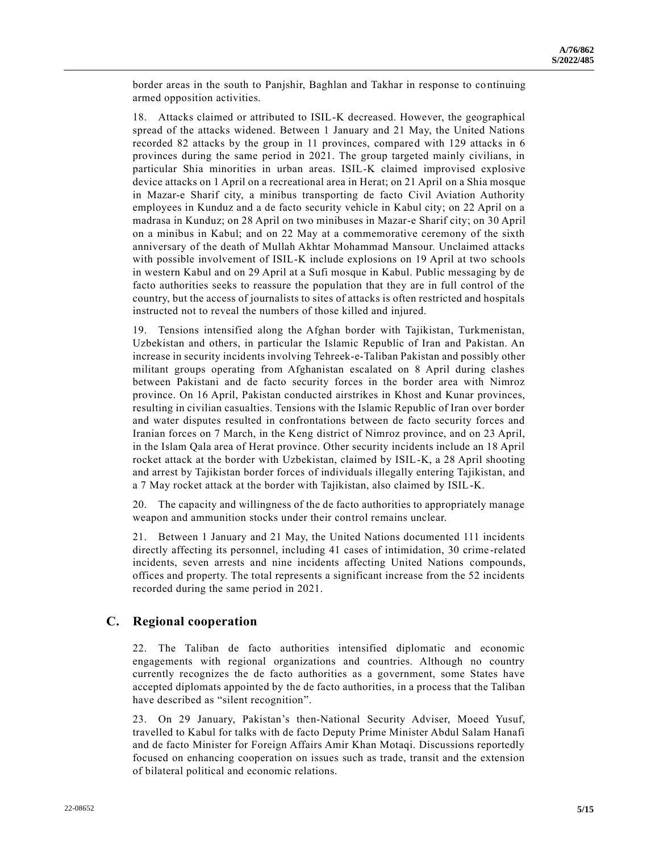border areas in the south to Panjshir, Baghlan and Takhar in response to continuing armed opposition activities.

18. Attacks claimed or attributed to ISIL-K decreased. However, the geographical spread of the attacks widened. Between 1 January and 21 May, the United Nations recorded 82 attacks by the group in 11 provinces, compared with 129 attacks in 6 provinces during the same period in 2021. The group targeted mainly civilians, in particular Shia minorities in urban areas. ISIL-K claimed improvised explosive device attacks on 1 April on a recreational area in Herat; on 21 April on a Shia mosque in Mazar-e Sharif city, a minibus transporting de facto Civil Aviation Authority employees in Kunduz and a de facto security vehicle in Kabul city; on 22 April on a madrasa in Kunduz; on 28 April on two minibuses in Mazar-e Sharif city; on 30 April on a minibus in Kabul; and on 22 May at a commemorative ceremony of the sixth anniversary of the death of Mullah Akhtar Mohammad Mansour. Unclaimed attacks with possible involvement of ISIL-K include explosions on 19 April at two schools in western Kabul and on 29 April at a Sufi mosque in Kabul. Public messaging by de facto authorities seeks to reassure the population that they are in full control of the country, but the access of journalists to sites of attacks is often restricted and hospitals instructed not to reveal the numbers of those killed and injured.

19. Tensions intensified along the Afghan border with Tajikistan, Turkmenistan, Uzbekistan and others, in particular the Islamic Republic of Iran and Pakistan. An increase in security incidents involving Tehreek-e-Taliban Pakistan and possibly other militant groups operating from Afghanistan escalated on 8 April during clashes between Pakistani and de facto security forces in the border area with Nimroz province. On 16 April, Pakistan conducted airstrikes in Khost and Kunar provinces, resulting in civilian casualties. Tensions with the Islamic Republic of Iran over border and water disputes resulted in confrontations between de facto security forces and Iranian forces on 7 March, in the Keng district of Nimroz province, and on 23 April, in the Islam Qala area of Herat province. Other security incidents include an 18 April rocket attack at the border with Uzbekistan, claimed by ISIL-K, a 28 April shooting and arrest by Tajikistan border forces of individuals illegally entering Tajikistan, and a 7 May rocket attack at the border with Tajikistan, also claimed by ISIL-K.

20. The capacity and willingness of the de facto authorities to appropriately manage weapon and ammunition stocks under their control remains unclear.

21. Between 1 January and 21 May, the United Nations documented 111 incidents directly affecting its personnel, including 41 cases of intimidation, 30 crime -related incidents, seven arrests and nine incidents affecting United Nations compounds, offices and property. The total represents a significant increase from the 52 incidents recorded during the same period in 2021.

#### **C. Regional cooperation**

22. The Taliban de facto authorities intensified diplomatic and economic engagements with regional organizations and countries. Although no country currently recognizes the de facto authorities as a government, some States have accepted diplomats appointed by the de facto authorities, in a process that the Taliban have described as "silent recognition".

23. On 29 January, Pakistan's then-National Security Adviser, Moeed Yusuf, travelled to Kabul for talks with de facto Deputy Prime Minister Abdul Salam Hanafi and de facto Minister for Foreign Affairs Amir Khan Motaqi. Discussions reportedly focused on enhancing cooperation on issues such as trade, transit and the extension of bilateral political and economic relations.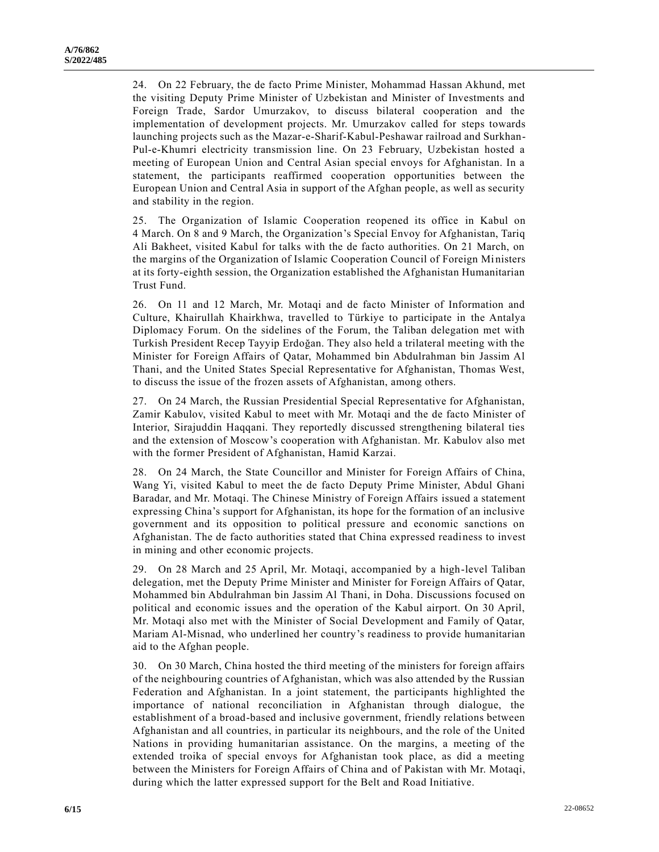24. On 22 February, the de facto Prime Minister, Mohammad Hassan Akhund, met the visiting Deputy Prime Minister of Uzbekistan and Minister of Investments and Foreign Trade, Sardor Umurzakov, to discuss bilateral cooperation and the implementation of development projects. Mr. Umurzakov called for steps towards launching projects such as the Mazar-e-Sharif-Kabul-Peshawar railroad and Surkhan-Pul-e-Khumri electricity transmission line. On 23 February, Uzbekistan hosted a meeting of European Union and Central Asian special envoys for Afghanistan. In a statement, the participants reaffirmed cooperation opportunities between the European Union and Central Asia in support of the Afghan people, as well as security and stability in the region.

25. The Organization of Islamic Cooperation reopened its office in Kabul on 4 March. On 8 and 9 March, the Organization's Special Envoy for Afghanistan, Tariq Ali Bakheet, visited Kabul for talks with the de facto authorities. On 21 March, on the margins of the Organization of Islamic Cooperation Council of Foreign Mi nisters at its forty-eighth session, the Organization established the Afghanistan Humanitarian Trust Fund.

26. On 11 and 12 March, Mr. Motaqi and de facto Minister of Information and Culture, Khairullah Khairkhwa, travelled to Türkiye to participate in the Antalya Diplomacy Forum. On the sidelines of the Forum, the Taliban delegation met with Turkish President Recep Tayyip Erdoğan. They also held a trilateral meeting with the Minister for Foreign Affairs of Qatar, Mohammed bin Abdulrahman bin Jassim Al Thani, and the United States Special Representative for Afghanistan, Thomas West, to discuss the issue of the frozen assets of Afghanistan, among others.

27. On 24 March, the Russian Presidential Special Representative for Afghanistan, Zamir Kabulov, visited Kabul to meet with Mr. Motaqi and the de facto Minister of Interior, Sirajuddin Haqqani. They reportedly discussed strengthening bilateral ties and the extension of Moscow's cooperation with Afghanistan. Mr. Kabulov also met with the former President of Afghanistan, Hamid Karzai.

28. On 24 March, the State Councillor and Minister for Foreign Affairs of China, Wang Yi, visited Kabul to meet the de facto Deputy Prime Minister, Abdul Ghani Baradar, and Mr. Motaqi. The Chinese Ministry of Foreign Affairs issued a statement expressing China's support for Afghanistan, its hope for the formation of an inclusive government and its opposition to political pressure and economic sanctions on Afghanistan. The de facto authorities stated that China expressed readiness to invest in mining and other economic projects.

29. On 28 March and 25 April, Mr. Motaqi, accompanied by a high-level Taliban delegation, met the Deputy Prime Minister and Minister for Foreign Affairs of Qatar, Mohammed bin Abdulrahman bin Jassim Al Thani, in Doha. Discussions focused on political and economic issues and the operation of the Kabul airport. On 30 April, Mr. Motaqi also met with the Minister of Social Development and Family of Qatar, Mariam Al-Misnad, who underlined her country's readiness to provide humanitarian aid to the Afghan people.

30. On 30 March, China hosted the third meeting of the ministers for foreign affairs of the neighbouring countries of Afghanistan, which was also attended by the Russian Federation and Afghanistan. In a joint statement, the participants highlighted the importance of national reconciliation in Afghanistan through dialogue, the establishment of a broad-based and inclusive government, friendly relations between Afghanistan and all countries, in particular its neighbours, and the role of the United Nations in providing humanitarian assistance. On the margins, a meeting of the extended troika of special envoys for Afghanistan took place, as did a meeting between the Ministers for Foreign Affairs of China and of Pakistan with Mr. Motaqi, during which the latter expressed support for the Belt and Road Initiative.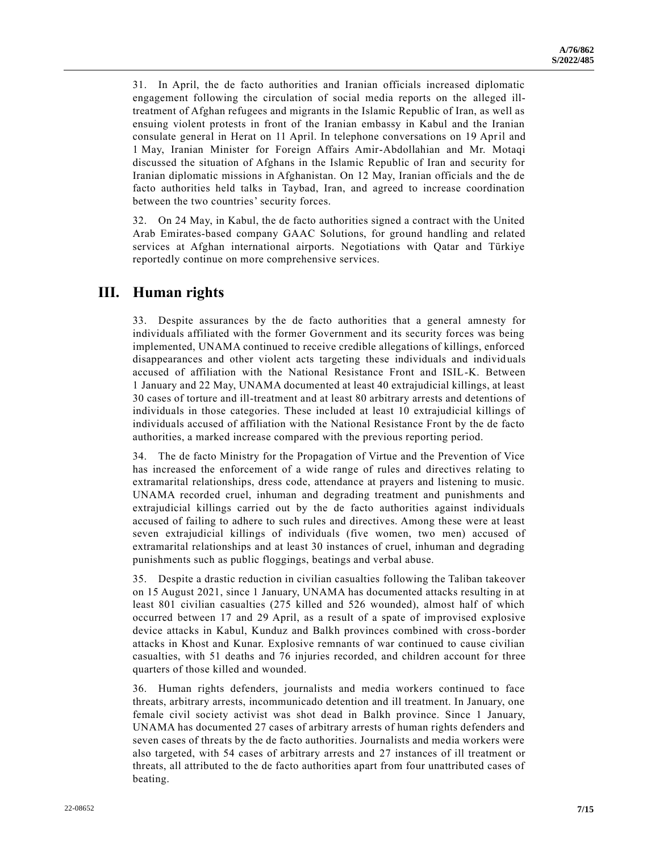31. In April, the de facto authorities and Iranian officials increased diplomatic engagement following the circulation of social media reports on the alleged illtreatment of Afghan refugees and migrants in the Islamic Republic of Iran, as well as ensuing violent protests in front of the Iranian embassy in Kabul and the Iranian consulate general in Herat on 11 April. In telephone conversations on 19 April and 1 May, Iranian Minister for Foreign Affairs Amir-Abdollahian and Mr. Motaqi discussed the situation of Afghans in the Islamic Republic of Iran and security for Iranian diplomatic missions in Afghanistan. On 12 May, Iranian officials and the de facto authorities held talks in Taybad, Iran, and agreed to increase coordination between the two countries' security forces.

32. On 24 May, in Kabul, the de facto authorities signed a contract with the United Arab Emirates-based company GAAC Solutions, for ground handling and related services at Afghan international airports. Negotiations with Qatar and Türkiye reportedly continue on more comprehensive services.

#### **III. Human rights**

33. Despite assurances by the de facto authorities that a general amnesty for individuals affiliated with the former Government and its security forces was being implemented, UNAMA continued to receive credible allegations of killings, enforced disappearances and other violent acts targeting these individuals and individuals accused of affiliation with the National Resistance Front and ISIL-K. Between 1 January and 22 May, UNAMA documented at least 40 extrajudicial killings, at least 30 cases of torture and ill-treatment and at least 80 arbitrary arrests and detentions of individuals in those categories. These included at least 10 extrajudicial killings of individuals accused of affiliation with the National Resistance Front by the de facto authorities, a marked increase compared with the previous reporting period.

34. The de facto Ministry for the Propagation of Virtue and the Prevention of Vice has increased the enforcement of a wide range of rules and directives relating to extramarital relationships, dress code, attendance at prayers and listening to music. UNAMA recorded cruel, inhuman and degrading treatment and punishments and extrajudicial killings carried out by the de facto authorities against individuals accused of failing to adhere to such rules and directives. Among these were at least seven extrajudicial killings of individuals (five women, two men) accused of extramarital relationships and at least 30 instances of cruel, inhuman and degrading punishments such as public floggings, beatings and verbal abuse.

35. Despite a drastic reduction in civilian casualties following the Taliban takeover on 15 August 2021, since 1 January, UNAMA has documented attacks resulting in at least 801 civilian casualties (275 killed and 526 wounded), almost half of which occurred between 17 and 29 April, as a result of a spate of improvised explosive device attacks in Kabul, Kunduz and Balkh provinces combined with cross-border attacks in Khost and Kunar. Explosive remnants of war continued to cause civilian casualties, with 51 deaths and 76 injuries recorded, and children account for three quarters of those killed and wounded.

36. Human rights defenders, journalists and media workers continued to face threats, arbitrary arrests, incommunicado detention and ill treatment. In January, one female civil society activist was shot dead in Balkh province. Since 1 January, UNAMA has documented 27 cases of arbitrary arrests of human rights defenders and seven cases of threats by the de facto authorities. Journalists and media workers were also targeted, with 54 cases of arbitrary arrests and 27 instances of ill treatment or threats, all attributed to the de facto authorities apart from four unattributed cases of beating.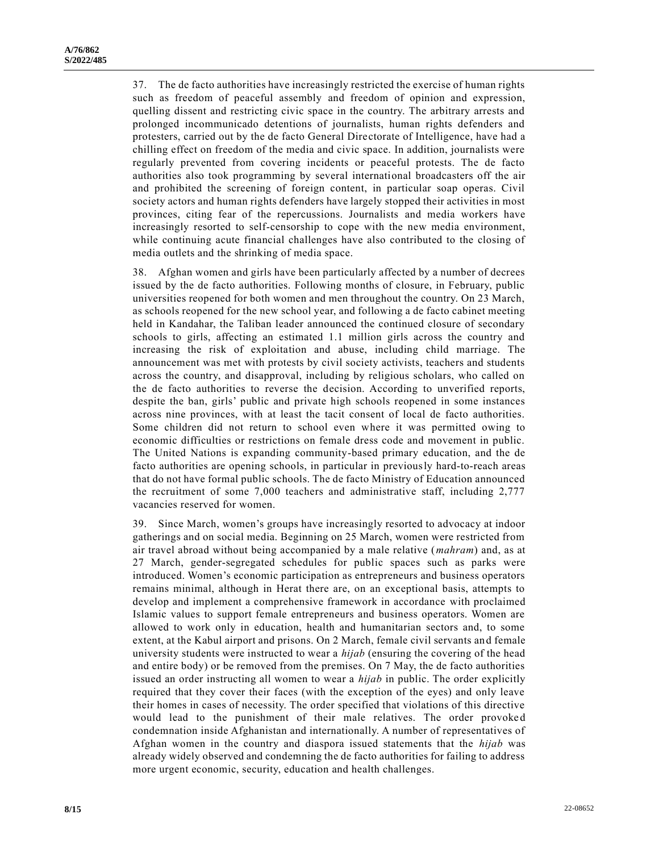37. The de facto authorities have increasingly restricted the exercise of human rights such as freedom of peaceful assembly and freedom of opinion and expression, quelling dissent and restricting civic space in the country. The arbitrary arrests and prolonged incommunicado detentions of journalists, human rights defenders and protesters, carried out by the de facto General Directorate of Intelligence, have had a chilling effect on freedom of the media and civic space. In addition, journalists were regularly prevented from covering incidents or peaceful protests. The de facto authorities also took programming by several international broadcasters off the air and prohibited the screening of foreign content, in particular soap operas. Civil society actors and human rights defenders have largely stopped their activities in most provinces, citing fear of the repercussions. Journalists and media workers have increasingly resorted to self-censorship to cope with the new media environment, while continuing acute financial challenges have also contributed to the closing of media outlets and the shrinking of media space.

38. Afghan women and girls have been particularly affected by a number of decrees issued by the de facto authorities. Following months of closure, in February, public universities reopened for both women and men throughout the country. On 23 March, as schools reopened for the new school year, and following a de facto cabinet meeting held in Kandahar, the Taliban leader announced the continued closure of secondary schools to girls, affecting an estimated 1.1 million girls across the country and increasing the risk of exploitation and abuse, including child marriage. The announcement was met with protests by civil society activists, teachers and students across the country, and disapproval, including by religious scholars, who called on the de facto authorities to reverse the decision. According to unverified reports, despite the ban, girls' public and private high schools reopened in some instances across nine provinces, with at least the tacit consent of local de facto authorities. Some children did not return to school even where it was permitted owing to economic difficulties or restrictions on female dress code and movement in public. The United Nations is expanding community-based primary education, and the de facto authorities are opening schools, in particular in previously hard-to-reach areas that do not have formal public schools. The de facto Ministry of Education announced the recruitment of some 7,000 teachers and administrative staff, including 2,777 vacancies reserved for women.

39. Since March, women's groups have increasingly resorted to advocacy at indoor gatherings and on social media. Beginning on 25 March, women were restricted from air travel abroad without being accompanied by a male relative (*mahram*) and, as at 27 March, gender-segregated schedules for public spaces such as parks were introduced. Women's economic participation as entrepreneurs and business operators remains minimal, although in Herat there are, on an exceptional basis, attempts to develop and implement a comprehensive framework in accordance with proclaimed Islamic values to support female entrepreneurs and business operators. Women are allowed to work only in education, health and humanitarian sectors and, to some extent, at the Kabul airport and prisons. On 2 March, female civil servants an d female university students were instructed to wear a *hijab* (ensuring the covering of the head and entire body) or be removed from the premises. On 7 May, the de facto authorities issued an order instructing all women to wear a *hijab* in public. The order explicitly required that they cover their faces (with the exception of the eyes) and only leave their homes in cases of necessity. The order specified that violations of this directive would lead to the punishment of their male relatives. The order provoked condemnation inside Afghanistan and internationally. A number of representatives of Afghan women in the country and diaspora issued statements that the *hijab* was already widely observed and condemning the de facto authorities for failing to address more urgent economic, security, education and health challenges.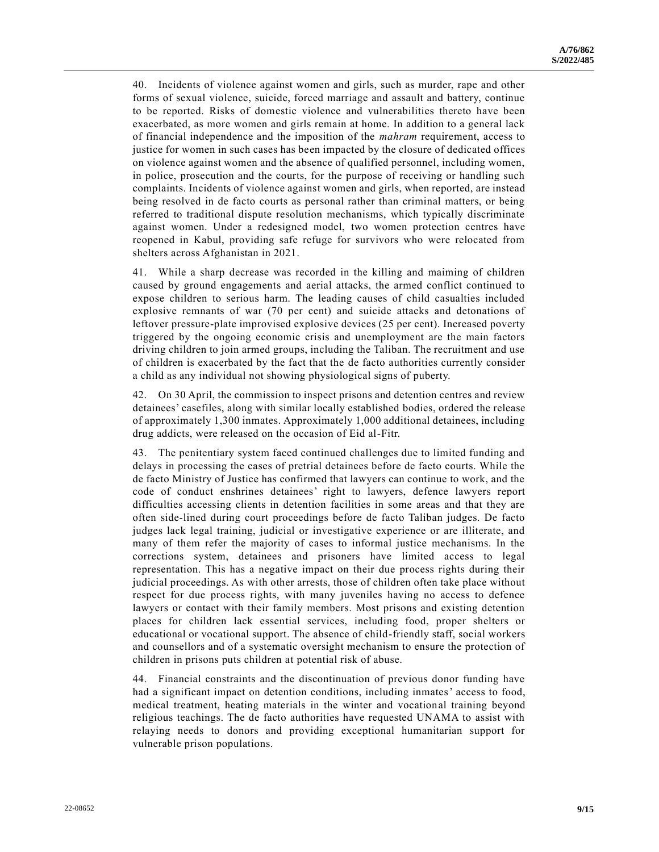40. Incidents of violence against women and girls, such as murder, rape and other forms of sexual violence, suicide, forced marriage and assault and battery, continue to be reported. Risks of domestic violence and vulnerabilities thereto have been exacerbated, as more women and girls remain at home. In addition to a general lack of financial independence and the imposition of the *mahram* requirement, access to justice for women in such cases has been impacted by the closure of dedicated offices on violence against women and the absence of qualified personnel, including women, in police, prosecution and the courts, for the purpose of receiving or handling such complaints. Incidents of violence against women and girls, when reported, are instead being resolved in de facto courts as personal rather than criminal matters, or being referred to traditional dispute resolution mechanisms, which typically discriminate against women. Under a redesigned model, two women protection centres have reopened in Kabul, providing safe refuge for survivors who were relocated from shelters across Afghanistan in 2021.

41. While a sharp decrease was recorded in the killing and maiming of children caused by ground engagements and aerial attacks, the armed conflict continued to expose children to serious harm. The leading causes of child casualties included explosive remnants of war (70 per cent) and suicide attacks and detonations of leftover pressure-plate improvised explosive devices (25 per cent). Increased poverty triggered by the ongoing economic crisis and unemployment are the main factors driving children to join armed groups, including the Taliban. The recruitment and use of children is exacerbated by the fact that the de facto authorities currently consider a child as any individual not showing physiological signs of puberty.

42. On 30 April, the commission to inspect prisons and detention centres and review detainees' casefiles, along with similar locally established bodies, ordered the release of approximately 1,300 inmates. Approximately 1,000 additional detainees, including drug addicts, were released on the occasion of Eid al-Fitr.

43. The penitentiary system faced continued challenges due to limited funding and delays in processing the cases of pretrial detainees before de facto courts. While the de facto Ministry of Justice has confirmed that lawyers can continue to work, and the code of conduct enshrines detainees' right to lawyers, defence lawyers report difficulties accessing clients in detention facilities in some areas and that they are often side-lined during court proceedings before de facto Taliban judges. De facto judges lack legal training, judicial or investigative experience or are illiterate, and many of them refer the majority of cases to informal justice mechanisms. In the corrections system, detainees and prisoners have limited access to legal representation. This has a negative impact on their due process rights during their judicial proceedings. As with other arrests, those of children often take place without respect for due process rights, with many juveniles having no access to defence lawyers or contact with their family members. Most prisons and existing detention places for children lack essential services, including food, proper shelters or educational or vocational support. The absence of child-friendly staff, social workers and counsellors and of a systematic oversight mechanism to ensure the protection of children in prisons puts children at potential risk of abuse.

44. Financial constraints and the discontinuation of previous donor funding have had a significant impact on detention conditions, including inmates' access to food, medical treatment, heating materials in the winter and vocational training beyond religious teachings. The de facto authorities have requested UNAMA to assist with relaying needs to donors and providing exceptional humanitarian support for vulnerable prison populations.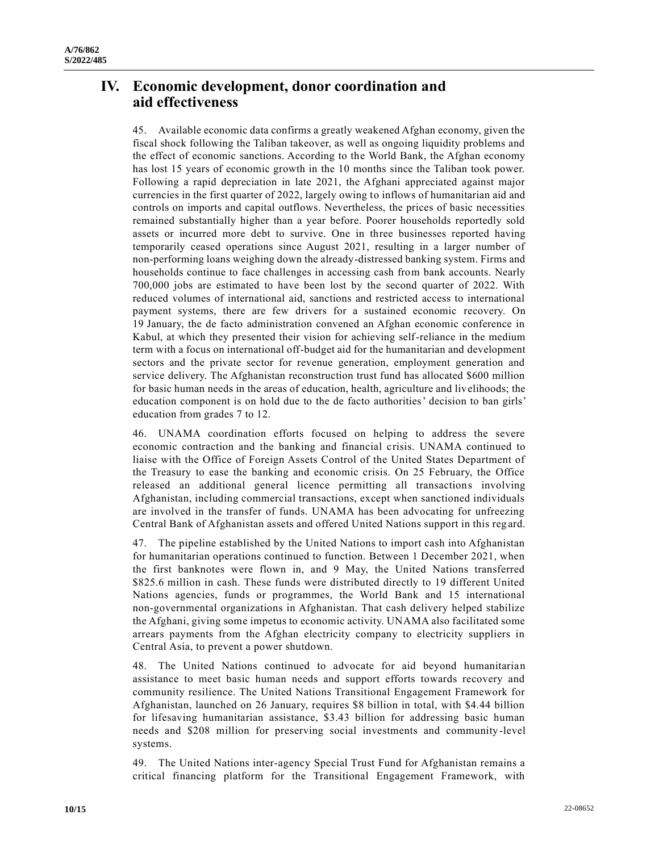# **IV. Economic development, donor coordination and aid effectiveness**

45. Available economic data confirms a greatly weakened Afghan economy, given the fiscal shock following the Taliban takeover, as well as ongoing liquidity problems and the effect of economic sanctions. According to the World Bank, the Afghan economy has lost 15 years of economic growth in the 10 months since the Taliban took power. Following a rapid depreciation in late 2021, the Afghani appreciated against major currencies in the first quarter of 2022, largely owing to inflows of humanitarian aid and controls on imports and capital outflows. Nevertheless, the prices of basic necessities remained substantially higher than a year before. Poorer households reportedly sold assets or incurred more debt to survive. One in three businesses reported having temporarily ceased operations since August 2021, resulting in a larger number of non-performing loans weighing down the already-distressed banking system. Firms and households continue to face challenges in accessing cash from bank accounts. Nearly 700,000 jobs are estimated to have been lost by the second quarter of 2022. With reduced volumes of international aid, sanctions and restricted access to international payment systems, there are few drivers for a sustained economic recovery. On 19 January, the de facto administration convened an Afghan economic conference in Kabul, at which they presented their vision for achieving self-reliance in the medium term with a focus on international off-budget aid for the humanitarian and development sectors and the private sector for revenue generation, employment generation and service delivery. The Afghanistan reconstruction trust fund has allocated \$600 million for basic human needs in the areas of education, health, agriculture and livelihoods; the education component is on hold due to the de facto authorities' decision to ban girls' education from grades 7 to 12.

46. UNAMA coordination efforts focused on helping to address the severe economic contraction and the banking and financial crisis. UNAMA continued to liaise with the Office of Foreign Assets Control of the United States Department of the Treasury to ease the banking and economic crisis. On 25 February, the Office released an additional general licence permitting all transactions involving Afghanistan, including commercial transactions, except when sanctioned individuals are involved in the transfer of funds. UNAMA has been advocating for unfreezing Central Bank of Afghanistan assets and offered United Nations support in this reg ard.

47. The pipeline established by the United Nations to import cash into Afghanistan for humanitarian operations continued to function. Between 1 December 2021, when the first banknotes were flown in, and 9 May, the United Nations transferred \$825.6 million in cash. These funds were distributed directly to 19 different United Nations agencies, funds or programmes, the World Bank and 15 international non-governmental organizations in Afghanistan. That cash delivery helped stabilize the Afghani, giving some impetus to economic activity. UNAMA also facilitated some arrears payments from the Afghan electricity company to electricity suppliers in Central Asia, to prevent a power shutdown.

48. The United Nations continued to advocate for aid beyond humanitarian assistance to meet basic human needs and support efforts towards recovery and community resilience. The United Nations Transitional Engagement Framework for Afghanistan, launched on 26 January, requires \$8 billion in total, with \$4.44 billion for lifesaving humanitarian assistance, \$3.43 billion for addressing basic human needs and \$208 million for preserving social investments and community -level systems.

49. The United Nations inter-agency Special Trust Fund for Afghanistan remains a critical financing platform for the Transitional Engagement Framework, with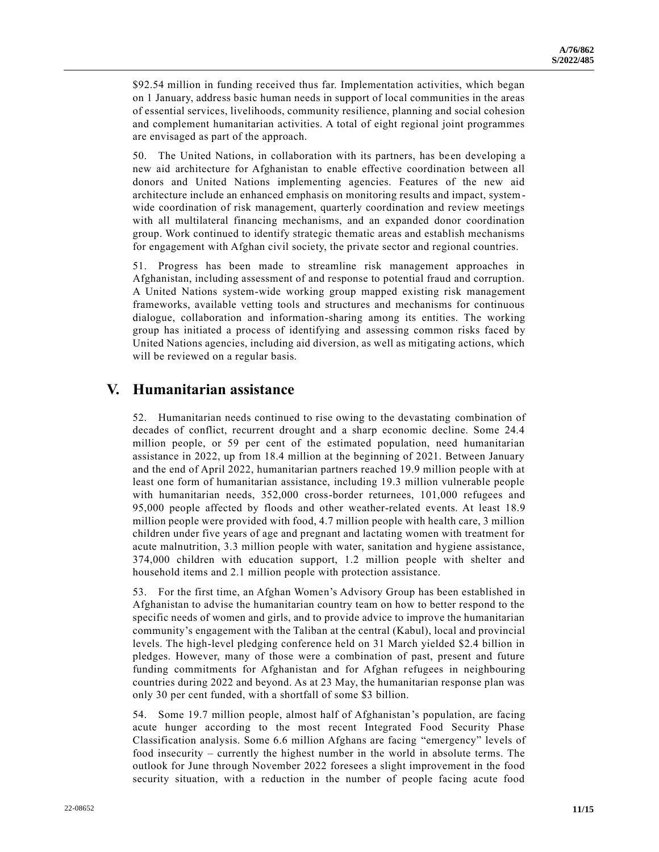\$92.54 million in funding received thus far. Implementation activities, which began on 1 January, address basic human needs in support of local communities in the areas of essential services, livelihoods, community resilience, planning and social cohesion and complement humanitarian activities. A total of eight regional joint programmes are envisaged as part of the approach.

50. The United Nations, in collaboration with its partners, has be en developing a new aid architecture for Afghanistan to enable effective coordination between all donors and United Nations implementing agencies. Features of the new aid architecture include an enhanced emphasis on monitoring results and impact, systemwide coordination of risk management, quarterly coordination and review meetings with all multilateral financing mechanisms, and an expanded donor coordination group. Work continued to identify strategic thematic areas and establish mechanisms for engagement with Afghan civil society, the private sector and regional countries.

51. Progress has been made to streamline risk management approaches in Afghanistan, including assessment of and response to potential fraud and corruption. A United Nations system-wide working group mapped existing risk management frameworks, available vetting tools and structures and mechanisms for continuous dialogue, collaboration and information-sharing among its entities. The working group has initiated a process of identifying and assessing common risks faced by United Nations agencies, including aid diversion, as well as mitigating actions, which will be reviewed on a regular basis.

## **V. Humanitarian assistance**

52. Humanitarian needs continued to rise owing to the devastating combination of decades of conflict, recurrent drought and a sharp economic decline. Some 24.4 million people, or 59 per cent of the estimated population, need humanitarian assistance in 2022, up from 18.4 million at the beginning of 2021. Between January and the end of April 2022, humanitarian partners reached 19.9 million people with at least one form of humanitarian assistance, including 19.3 million vulnerable people with humanitarian needs, 352,000 cross-border returnees, 101,000 refugees and 95,000 people affected by floods and other weather-related events. At least 18.9 million people were provided with food, 4.7 million people with health care, 3 million children under five years of age and pregnant and lactating women with treatment for acute malnutrition, 3.3 million people with water, sanitation and hygiene assistance, 374,000 children with education support, 1.2 million people with shelter and household items and 2.1 million people with protection assistance.

53. For the first time, an Afghan Women's Advisory Group has been established in Afghanistan to advise the humanitarian country team on how to better respond to the specific needs of women and girls, and to provide advice to improve the humanitarian community's engagement with the Taliban at the central (Kabul), local and provincial levels. The high-level pledging conference held on 31 March yielded \$2.4 billion in pledges. However, many of those were a combination of past, present and future funding commitments for Afghanistan and for Afghan refugees in neighbouring countries during 2022 and beyond. As at 23 May, the humanitarian response plan was only 30 per cent funded, with a shortfall of some \$3 billion.

54. Some 19.7 million people, almost half of Afghanistan's population, are facing acute hunger according to the most recent Integrated Food Security Phase Classification analysis. Some 6.6 million Afghans are facing "emergency" levels of food insecurity – currently the highest number in the world in absolute terms. The outlook for June through November 2022 foresees a slight improvement in the food security situation, with a reduction in the number of people facing acute food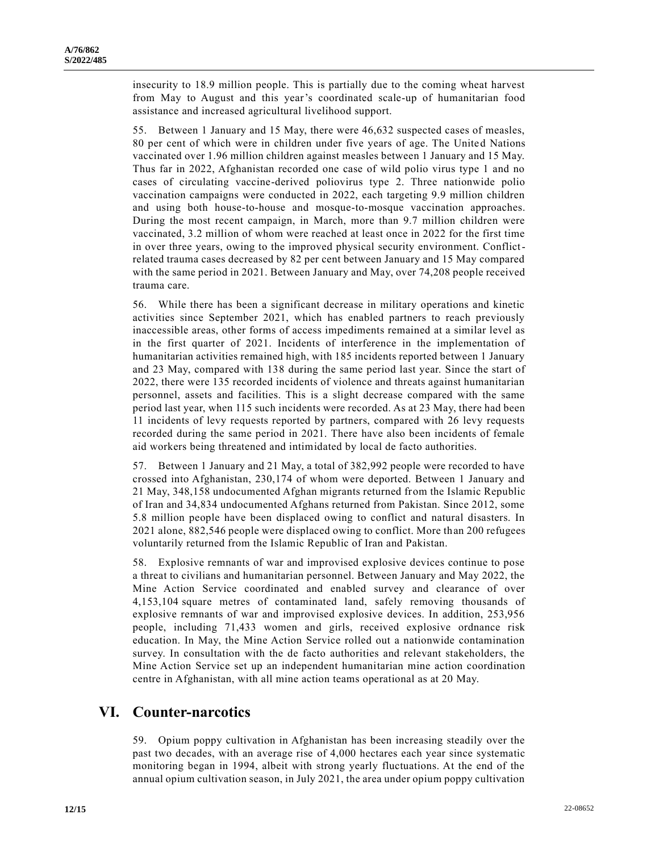insecurity to 18.9 million people. This is partially due to the coming wheat harvest from May to August and this year's coordinated scale-up of humanitarian food assistance and increased agricultural livelihood support.

55. Between 1 January and 15 May, there were 46,632 suspected cases of measles, 80 per cent of which were in children under five years of age. The United Nations vaccinated over 1.96 million children against measles between 1 January and 15 May. Thus far in 2022, Afghanistan recorded one case of wild polio virus type 1 and no cases of circulating vaccine-derived poliovirus type 2. Three nationwide polio vaccination campaigns were conducted in 2022, each targeting 9.9 million children and using both house-to-house and mosque-to-mosque vaccination approaches. During the most recent campaign, in March, more than 9.7 million children were vaccinated, 3.2 million of whom were reached at least once in 2022 for the first time in over three years, owing to the improved physical security environment. Conflictrelated trauma cases decreased by 82 per cent between January and 15 May compared with the same period in 2021. Between January and May, over 74,208 people received trauma care.

56. While there has been a significant decrease in military operations and kinetic activities since September 2021, which has enabled partners to reach previously inaccessible areas, other forms of access impediments remained at a similar level as in the first quarter of 2021. Incidents of interference in the implementation of humanitarian activities remained high, with 185 incidents reported between 1 January and 23 May, compared with 138 during the same period last year. Since the start of 2022, there were 135 recorded incidents of violence and threats against humanitarian personnel, assets and facilities. This is a slight decrease compared with the same period last year, when 115 such incidents were recorded. As at 23 May, there had been 11 incidents of levy requests reported by partners, compared with 26 levy requests recorded during the same period in 2021. There have also been incidents of female aid workers being threatened and intimidated by local de facto authorities.

57. Between 1 January and 21 May, a total of 382,992 people were recorded to have crossed into Afghanistan, 230,174 of whom were deported. Between 1 January and 21 May, 348,158 undocumented Afghan migrants returned from the Islamic Republic of Iran and 34,834 undocumented Afghans returned from Pakistan. Since 2012, some 5.8 million people have been displaced owing to conflict and natural disasters. In 2021 alone, 882,546 people were displaced owing to conflict. More than 200 refugees voluntarily returned from the Islamic Republic of Iran and Pakistan.

58. Explosive remnants of war and improvised explosive devices continue to pose a threat to civilians and humanitarian personnel. Between January and May 2022, the Mine Action Service coordinated and enabled survey and clearance of over 4,153,104 square metres of contaminated land, safely removing thousands of explosive remnants of war and improvised explosive devices. In addition, 253,956 people, including 71,433 women and girls, received explosive ordnance risk education. In May, the Mine Action Service rolled out a nationwide contamination survey. In consultation with the de facto authorities and relevant stakeholders, the Mine Action Service set up an independent humanitarian mine action coordination centre in Afghanistan, with all mine action teams operational as at 20 May.

#### **VI. Counter-narcotics**

59. Opium poppy cultivation in Afghanistan has been increasing steadily over the past two decades, with an average rise of 4,000 hectares each year since systematic monitoring began in 1994, albeit with strong yearly fluctuations. At the end of the annual opium cultivation season, in July 2021, the area under opium poppy cultivation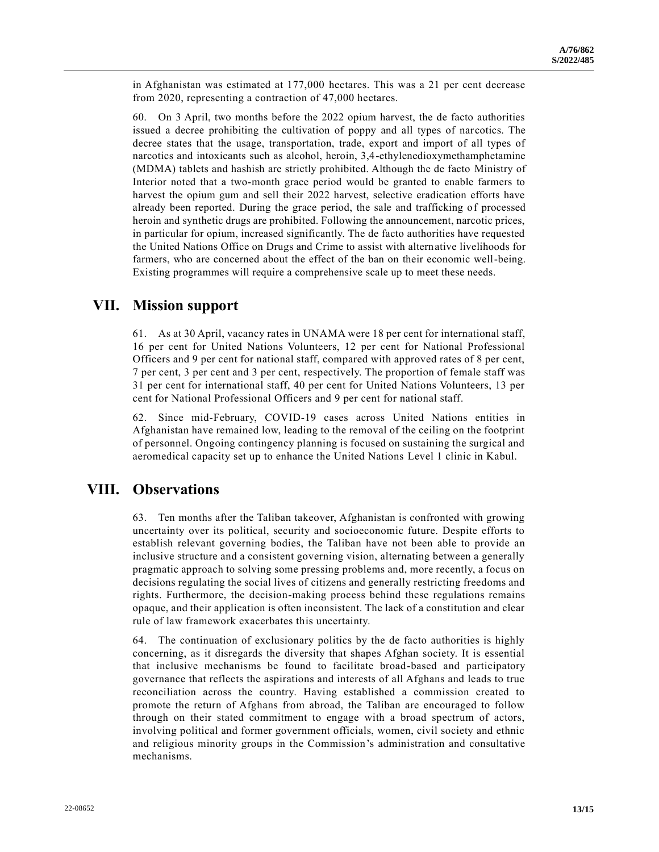in Afghanistan was estimated at 177,000 hectares. This was a 21 per cent decrease from 2020, representing a contraction of 47,000 hectares.

60. On 3 April, two months before the 2022 opium harvest, the de facto authorities issued a decree prohibiting the cultivation of poppy and all types of narcotics. The decree states that the usage, transportation, trade, export and import of all types of narcotics and intoxicants such as alcohol, heroin, 3,4-ethylenedioxymethamphetamine (MDMA) tablets and hashish are strictly prohibited. Although the de facto Ministry of Interior noted that a two-month grace period would be granted to enable farmers to harvest the opium gum and sell their 2022 harvest, selective eradication efforts have already been reported. During the grace period, the sale and trafficking of processed heroin and synthetic drugs are prohibited. Following the announcement, narcotic prices, in particular for opium, increased significantly. The de facto authorities have requested the United Nations Office on Drugs and Crime to assist with alternative livelihoods for farmers, who are concerned about the effect of the ban on their economic well-being. Existing programmes will require a comprehensive scale up to meet these needs.

#### **VII. Mission support**

61. As at 30 April, vacancy rates in UNAMA were 18 per cent for international staff, 16 per cent for United Nations Volunteers, 12 per cent for National Professional Officers and 9 per cent for national staff, compared with approved rates of 8 per cent, 7 per cent, 3 per cent and 3 per cent, respectively. The proportion of female staff was 31 per cent for international staff, 40 per cent for United Nations Volunteers, 13 per cent for National Professional Officers and 9 per cent for national staff.

62. Since mid-February, COVID-19 cases across United Nations entities in Afghanistan have remained low, leading to the removal of the ceiling on the footprint of personnel. Ongoing contingency planning is focused on sustaining the surgical and aeromedical capacity set up to enhance the United Nations Level 1 clinic in Kabul.

#### **VIII. Observations**

63. Ten months after the Taliban takeover, Afghanistan is confronted with growing uncertainty over its political, security and socioeconomic future. Despite efforts to establish relevant governing bodies, the Taliban have not been able to provide an inclusive structure and a consistent governing vision, alternating between a generally pragmatic approach to solving some pressing problems and, more recently, a focus on decisions regulating the social lives of citizens and generally restricting freedoms and rights. Furthermore, the decision-making process behind these regulations remains opaque, and their application is often inconsistent. The lack of a constitution and clear rule of law framework exacerbates this uncertainty.

64. The continuation of exclusionary politics by the de facto authorities is highly concerning, as it disregards the diversity that shapes Afghan society. It is essential that inclusive mechanisms be found to facilitate broad-based and participatory governance that reflects the aspirations and interests of all Afghans and leads to true reconciliation across the country. Having established a commission created to promote the return of Afghans from abroad, the Taliban are encouraged to follow through on their stated commitment to engage with a broad spectrum of actors, involving political and former government officials, women, civil society and ethnic and religious minority groups in the Commission's administration and consultative mechanisms.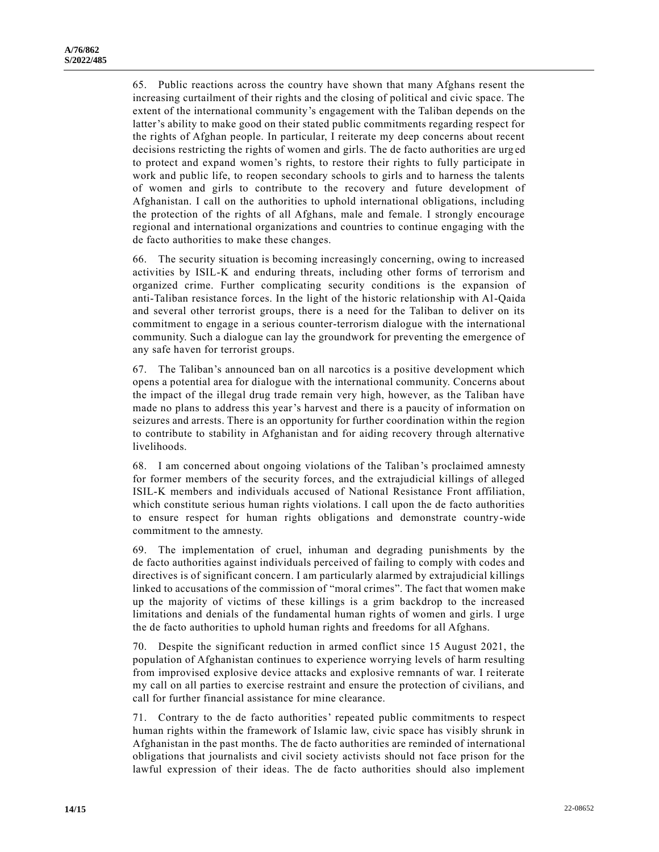65. Public reactions across the country have shown that many Afghans resent the increasing curtailment of their rights and the closing of political and civic space. The extent of the international community's engagement with the Taliban depends on the latter's ability to make good on their stated public commitments regarding respect for the rights of Afghan people. In particular, I reiterate my deep concerns about recent decisions restricting the rights of women and girls. The de facto authorities are urg ed to protect and expand women's rights, to restore their rights to fully participate in work and public life, to reopen secondary schools to girls and to harness the talents of women and girls to contribute to the recovery and future development of Afghanistan. I call on the authorities to uphold international obligations, including the protection of the rights of all Afghans, male and female. I strongly encourage regional and international organizations and countries to continue engaging with the de facto authorities to make these changes.

66. The security situation is becoming increasingly concerning, owing to increased activities by ISIL-K and enduring threats, including other forms of terrorism and organized crime. Further complicating security conditions is the expansion of anti-Taliban resistance forces. In the light of the historic relationship with Al-Qaida and several other terrorist groups, there is a need for the Taliban to deliver on its commitment to engage in a serious counter-terrorism dialogue with the international community. Such a dialogue can lay the groundwork for preventing the emergence of any safe haven for terrorist groups.

67. The Taliban's announced ban on all narcotics is a positive development which opens a potential area for dialogue with the international community. Concerns about the impact of the illegal drug trade remain very high, however, as the Taliban have made no plans to address this year's harvest and there is a paucity of information on seizures and arrests. There is an opportunity for further coordination within the region to contribute to stability in Afghanistan and for aiding recovery through alternative livelihoods.

68. I am concerned about ongoing violations of the Taliban's proclaimed amnesty for former members of the security forces, and the extrajudicial killings of alleged ISIL-K members and individuals accused of National Resistance Front affiliation, which constitute serious human rights violations. I call upon the de facto authorities to ensure respect for human rights obligations and demonstrate country-wide commitment to the amnesty.

69. The implementation of cruel, inhuman and degrading punishments by the de facto authorities against individuals perceived of failing to comply with codes and directives is of significant concern. I am particularly alarmed by extrajudicial killings linked to accusations of the commission of "moral crimes". The fact that women make up the majority of victims of these killings is a grim backdrop to the increased limitations and denials of the fundamental human rights of women and girls. I urge the de facto authorities to uphold human rights and freedoms for all Afghans.

70. Despite the significant reduction in armed conflict since 15 August 2021, the population of Afghanistan continues to experience worrying levels of harm resulting from improvised explosive device attacks and explosive remnants of war. I reiterate my call on all parties to exercise restraint and ensure the protection of civilians, and call for further financial assistance for mine clearance.

71. Contrary to the de facto authorities' repeated public commitments to respect human rights within the framework of Islamic law, civic space has visibly shrunk in Afghanistan in the past months. The de facto authorities are reminded of international obligations that journalists and civil society activists should not face prison for the lawful expression of their ideas. The de facto authorities should also implement